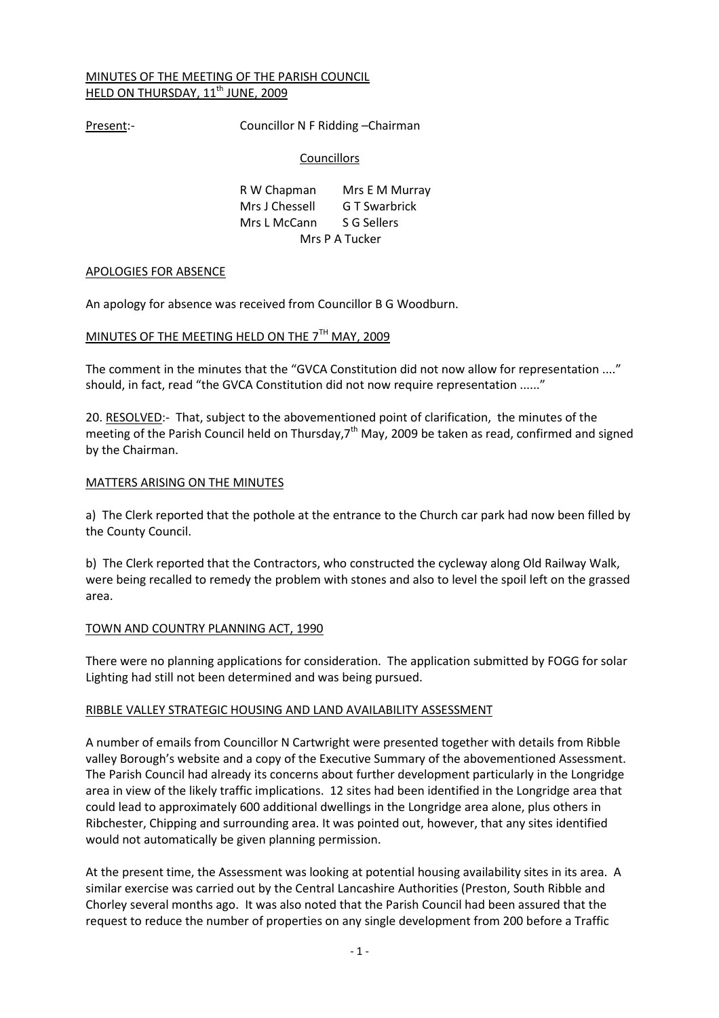# MINUTES OF THE MEETING OF THE PARISH COUNCIL HELD ON THURSDAY, 11<sup>th</sup> JUNE, 2009

Present:- Councillor N F Ridding - Chairman

# **Councillors**

| R W Chapman    | Mrs E M Murray |  |
|----------------|----------------|--|
| Mrs J Chessell | G T Swarbrick  |  |
| Mrs L McCann   | S G Sellers    |  |
|                | Mrs P A Tucker |  |

## APOLOGIES FOR ABSENCE

An apology for absence was received from Councillor B G Woodburn.

# MINUTES OF THE MEETING HELD ON THE 7<sup>TH</sup> MAY, 2009

The comment in the minutes that the "GVCA Constitution did not now allow for representation ...." should, in fact, read "the GVCA Constitution did not now require representation ......"

20. RESOLVED:- That, subject to the abovementioned point of clarification, the minutes of the meeting of the Parish Council held on Thursday, $7<sup>th</sup>$  May, 2009 be taken as read, confirmed and signed by the Chairman.

# MATTERS ARISING ON THE MINUTES

a) The Clerk reported that the pothole at the entrance to the Church car park had now been filled by the County Council.

b) The Clerk reported that the Contractors, who constructed the cycleway along Old Railway Walk, were being recalled to remedy the problem with stones and also to level the spoil left on the grassed area.

# TOWN AND COUNTRY PLANNING ACT, 1990

There were no planning applications for consideration. The application submitted by FOGG for solar Lighting had still not been determined and was being pursued.

## RIBBLE VALLEY STRATEGIC HOUSING AND LAND AVAILABILITY ASSESSMENT

A number of emails from Councillor N Cartwright were presented together with details from Ribble valley Borough's website and a copy of the Executive Summary of the abovementioned Assessment. The Parish Council had already its concerns about further development particularly in the Longridge area in view of the likely traffic implications. 12 sites had been identified in the Longridge area that could lead to approximately 600 additional dwellings in the Longridge area alone, plus others in Ribchester, Chipping and surrounding area. It was pointed out, however, that any sites identified would not automatically be given planning permission.

At the present time, the Assessment was looking at potential housing availability sites in its area. A similar exercise was carried out by the Central Lancashire Authorities (Preston, South Ribble and Chorley several months ago. It was also noted that the Parish Council had been assured that the request to reduce the number of properties on any single development from 200 before a Traffic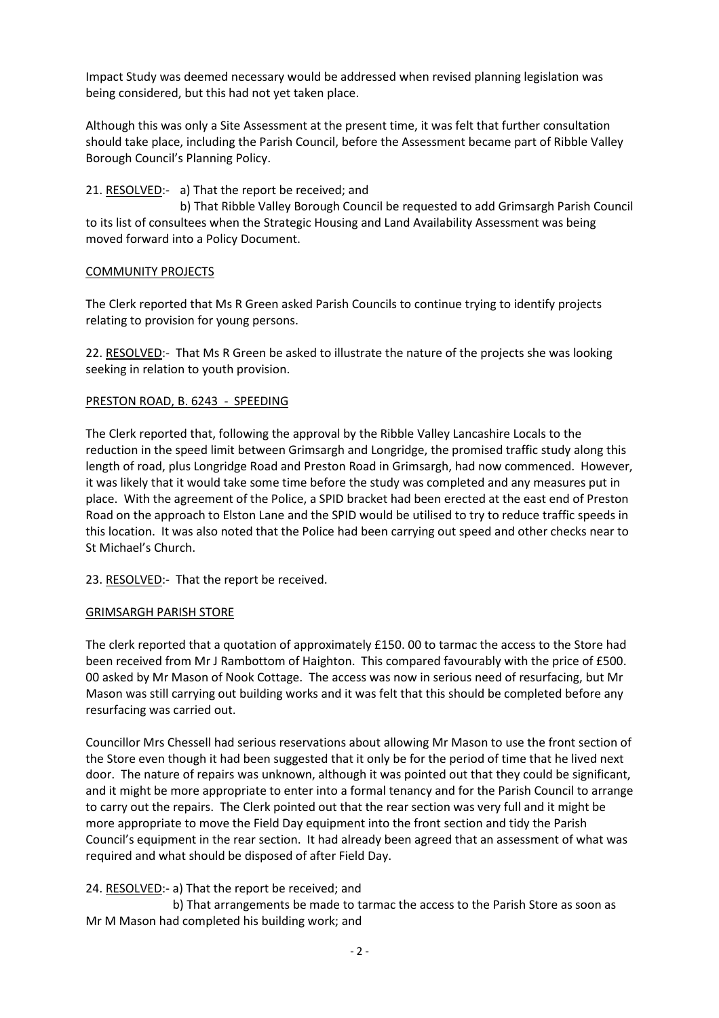Impact Study was deemed necessary would be addressed when revised planning legislation was being considered, but this had not yet taken place.

Although this was only a Site Assessment at the present time, it was felt that further consultation should take place, including the Parish Council, before the Assessment became part of Ribble Valley Borough Council's Planning Policy.

# 21. RESOLVED:- a) That the report be received; and

 b) That Ribble Valley Borough Council be requested to add Grimsargh Parish Council to its list of consultees when the Strategic Housing and Land Availability Assessment was being moved forward into a Policy Document.

# COMMUNITY PROJECTS

The Clerk reported that Ms R Green asked Parish Councils to continue trying to identify projects relating to provision for young persons.

22. RESOLVED:- That Ms R Green be asked to illustrate the nature of the projects she was looking seeking in relation to youth provision.

# PRESTON ROAD, B. 6243 - SPEEDING

The Clerk reported that, following the approval by the Ribble Valley Lancashire Locals to the reduction in the speed limit between Grimsargh and Longridge, the promised traffic study along this length of road, plus Longridge Road and Preston Road in Grimsargh, had now commenced. However, it was likely that it would take some time before the study was completed and any measures put in place. With the agreement of the Police, a SPID bracket had been erected at the east end of Preston Road on the approach to Elston Lane and the SPID would be utilised to try to reduce traffic speeds in this location. It was also noted that the Police had been carrying out speed and other checks near to St Michael's Church.

23. RESOLVED:- That the report be received.

## GRIMSARGH PARISH STORE

The clerk reported that a quotation of approximately £150. 00 to tarmac the access to the Store had been received from Mr J Rambottom of Haighton. This compared favourably with the price of £500. 00 asked by Mr Mason of Nook Cottage. The access was now in serious need of resurfacing, but Mr Mason was still carrying out building works and it was felt that this should be completed before any resurfacing was carried out.

Councillor Mrs Chessell had serious reservations about allowing Mr Mason to use the front section of the Store even though it had been suggested that it only be for the period of time that he lived next door. The nature of repairs was unknown, although it was pointed out that they could be significant, and it might be more appropriate to enter into a formal tenancy and for the Parish Council to arrange to carry out the repairs. The Clerk pointed out that the rear section was very full and it might be more appropriate to move the Field Day equipment into the front section and tidy the Parish Council's equipment in the rear section. It had already been agreed that an assessment of what was required and what should be disposed of after Field Day.

# 24. RESOLVED:- a) That the report be received; and

 b) That arrangements be made to tarmac the access to the Parish Store as soon as Mr M Mason had completed his building work; and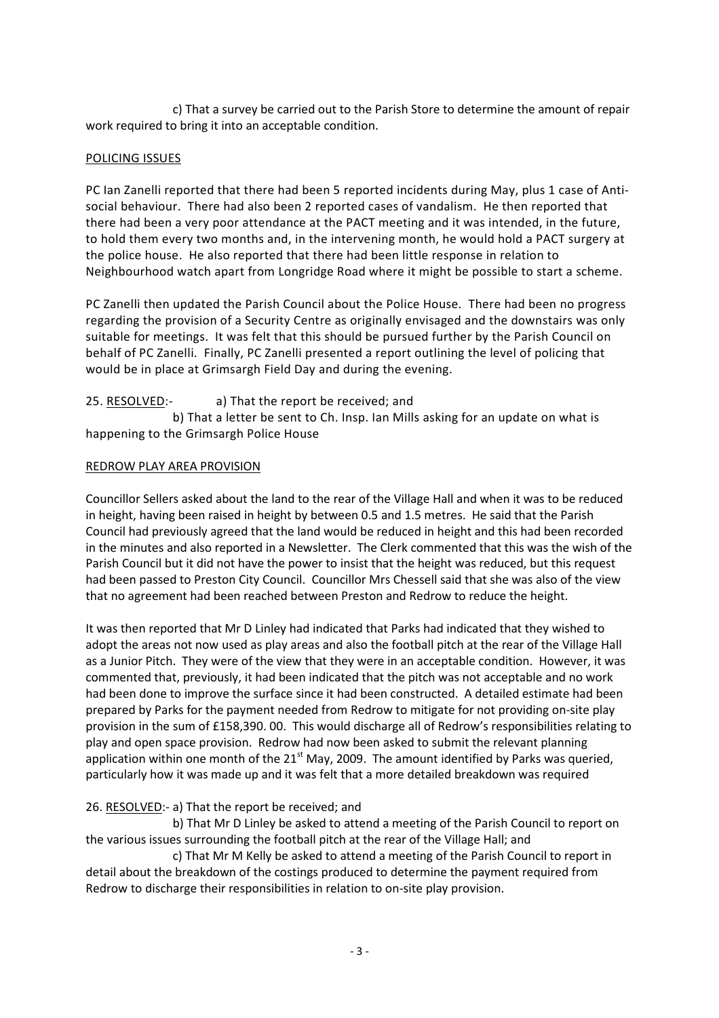c) That a survey be carried out to the Parish Store to determine the amount of repair work required to bring it into an acceptable condition.

## POLICING ISSUES

PC Ian Zanelli reported that there had been 5 reported incidents during May, plus 1 case of Antisocial behaviour. There had also been 2 reported cases of vandalism. He then reported that there had been a very poor attendance at the PACT meeting and it was intended, in the future, to hold them every two months and, in the intervening month, he would hold a PACT surgery at the police house. He also reported that there had been little response in relation to Neighbourhood watch apart from Longridge Road where it might be possible to start a scheme.

PC Zanelli then updated the Parish Council about the Police House. There had been no progress regarding the provision of a Security Centre as originally envisaged and the downstairs was only suitable for meetings. It was felt that this should be pursued further by the Parish Council on behalf of PC Zanelli. Finally, PC Zanelli presented a report outlining the level of policing that would be in place at Grimsargh Field Day and during the evening.

# 25. RESOLVED:- a) That the report be received; and

 b) That a letter be sent to Ch. Insp. Ian Mills asking for an update on what is happening to the Grimsargh Police House

# REDROW PLAY AREA PROVISION

Councillor Sellers asked about the land to the rear of the Village Hall and when it was to be reduced in height, having been raised in height by between 0.5 and 1.5 metres. He said that the Parish Council had previously agreed that the land would be reduced in height and this had been recorded in the minutes and also reported in a Newsletter. The Clerk commented that this was the wish of the Parish Council but it did not have the power to insist that the height was reduced, but this request had been passed to Preston City Council. Councillor Mrs Chessell said that she was also of the view that no agreement had been reached between Preston and Redrow to reduce the height.

It was then reported that Mr D Linley had indicated that Parks had indicated that they wished to adopt the areas not now used as play areas and also the football pitch at the rear of the Village Hall as a Junior Pitch. They were of the view that they were in an acceptable condition. However, it was commented that, previously, it had been indicated that the pitch was not acceptable and no work had been done to improve the surface since it had been constructed. A detailed estimate had been prepared by Parks for the payment needed from Redrow to mitigate for not providing on-site play provision in the sum of £158,390. 00. This would discharge all of Redrow's responsibilities relating to play and open space provision. Redrow had now been asked to submit the relevant planning application within one month of the  $21^{st}$  May, 2009. The amount identified by Parks was queried, particularly how it was made up and it was felt that a more detailed breakdown was required

# 26. RESOLVED:- a) That the report be received; and

 b) That Mr D Linley be asked to attend a meeting of the Parish Council to report on the various issues surrounding the football pitch at the rear of the Village Hall; and

 c) That Mr M Kelly be asked to attend a meeting of the Parish Council to report in detail about the breakdown of the costings produced to determine the payment required from Redrow to discharge their responsibilities in relation to on-site play provision.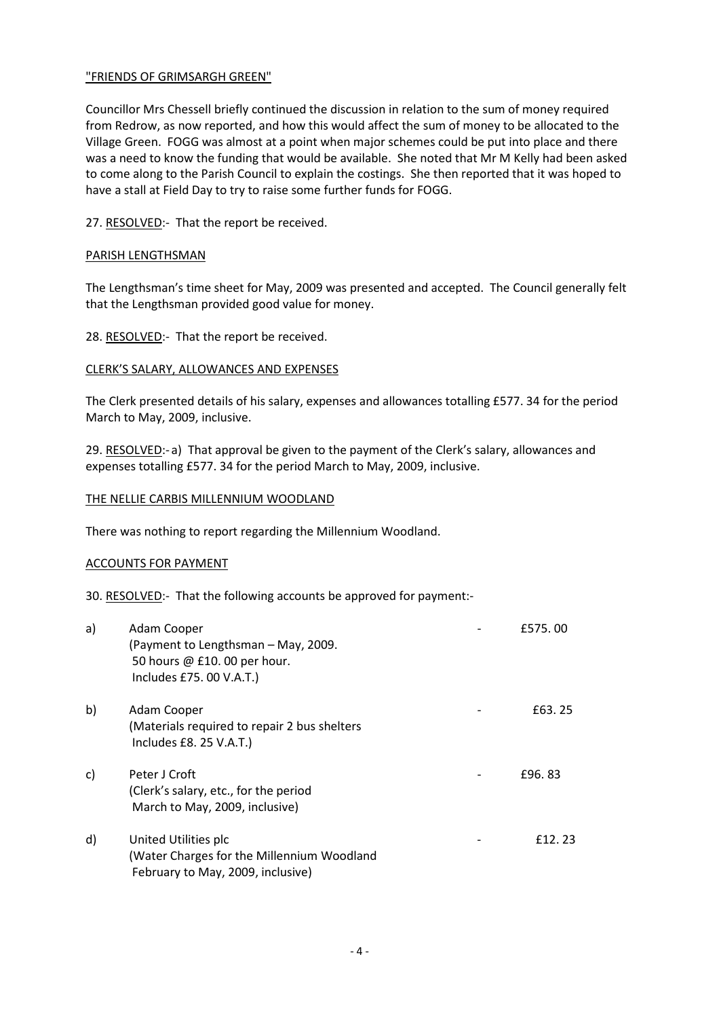## "FRIENDS OF GRIMSARGH GREEN"

Councillor Mrs Chessell briefly continued the discussion in relation to the sum of money required from Redrow, as now reported, and how this would affect the sum of money to be allocated to the Village Green. FOGG was almost at a point when major schemes could be put into place and there was a need to know the funding that would be available. She noted that Mr M Kelly had been asked to come along to the Parish Council to explain the costings. She then reported that it was hoped to have a stall at Field Day to try to raise some further funds for FOGG.

27. RESOLVED:- That the report be received.

## PARISH LENGTHSMAN

The Lengthsman's time sheet for May, 2009 was presented and accepted. The Council generally felt that the Lengthsman provided good value for money.

# 28. RESOLVED:- That the report be received.

# CLERK'S SALARY, ALLOWANCES AND EXPENSES

The Clerk presented details of his salary, expenses and allowances totalling £577. 34 for the period March to May, 2009, inclusive.

29. RESOLVED:- a) That approval be given to the payment of the Clerk's salary, allowances and expenses totalling £577. 34 for the period March to May, 2009, inclusive.

## THE NELLIE CARBIS MILLENNIUM WOODLAND

There was nothing to report regarding the Millennium Woodland.

## ACCOUNTS FOR PAYMENT

## 30. RESOLVED:- That the following accounts be approved for payment:-

| a) | Adam Cooper<br>(Payment to Lengthsman – May, 2009.<br>50 hours @ £10.00 per hour.<br>Includes £75.00 V.A.T.) | £575.00 |
|----|--------------------------------------------------------------------------------------------------------------|---------|
| b) | Adam Cooper<br>(Materials required to repair 2 bus shelters<br>Includes £8. 25 V.A.T.)                       | £63.25  |
| C) | Peter J Croft<br>(Clerk's salary, etc., for the period<br>March to May, 2009, inclusive)                     | £96, 83 |
| d) | United Utilities plc<br>(Water Charges for the Millennium Woodland<br>February to May, 2009, inclusive)      | f 12.23 |